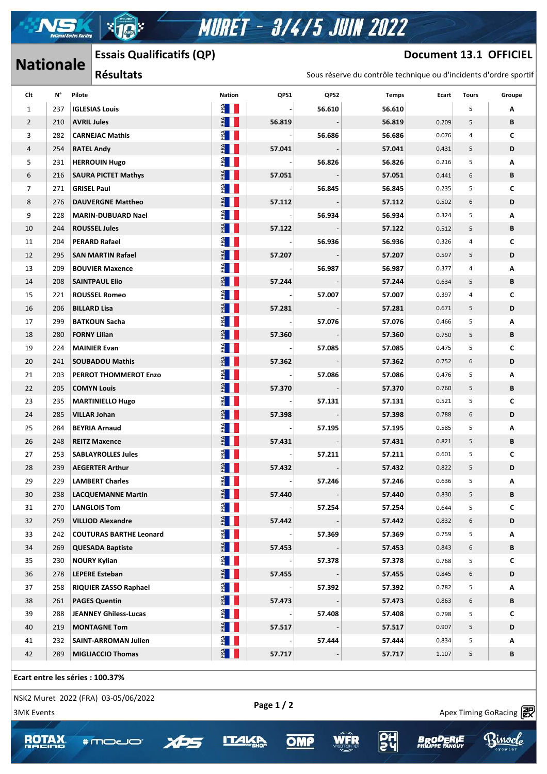# **MURET - 3/4/5 JUIN 2022**

## **Nationale** Essais Qualificatifs (QP) **Document 13.1 OFFICIEL**

IX.

 $\mathcal{A}$  , and the success https://www.apex-timing.com/

|                   | Lɔɔaɪɔ Quaiiiicatiiɔ (Qr /<br><b>Nationale</b> |                                                                     |                                     |                                                    | DOCUMENT TO'T ALLICITT   |        |                                                                   |                 |                |                                |  |
|-------------------|------------------------------------------------|---------------------------------------------------------------------|-------------------------------------|----------------------------------------------------|--------------------------|--------|-------------------------------------------------------------------|-----------------|----------------|--------------------------------|--|
|                   |                                                |                                                                     | <b>Résultats</b>                    |                                                    |                          |        | Sous réserve du contrôle technique ou d'incidents d'ordre sportif |                 |                |                                |  |
| Clt               | N°                                             | Pilote                                                              |                                     | Nation                                             | QPS1                     | QPS2   | <b>Temps</b>                                                      | Ecart           | <b>Tours</b>   | Groupe                         |  |
| 1                 | 237                                            |                                                                     | <b>IGLESIAS Louis</b>               | ERA<br>Heimanne                                    |                          | 56.610 | 56.610                                                            |                 | 5              | Α                              |  |
| $\overline{2}$    | 210                                            | <b>AVRIL Jules</b>                                                  |                                     | E                                                  | 56.819                   |        | 56.819                                                            | 0.209           | 5              | В                              |  |
| 3                 | 282                                            | <b>CARNEJAC Mathis</b><br><b>RATEL Andy</b><br><b>HERROUIN Hugo</b> |                                     | $F_{\rm H}$                                        | $\overline{\phantom{a}}$ | 56.686 | 56.686                                                            | 0.076           | $\overline{4}$ | C                              |  |
| 4                 | 254                                            |                                                                     |                                     | $E$ $\blacksquare$                                 | 57.041                   |        | 57.041<br>56.826                                                  | 0.431<br>0.216  | 5<br>5         | D<br>Α                         |  |
| 5                 | 231                                            |                                                                     |                                     | ERA<br>H                                           |                          | 56.826 |                                                                   |                 |                |                                |  |
| 6                 | 216                                            |                                                                     | <b>SAURA PICTET Mathys</b>          | $E$ $  $                                           | 57.051                   |        | 57.051                                                            | 0.441           | 6              | В                              |  |
| $\overline{7}$    | 271                                            | <b>GRISEL Paul</b>                                                  |                                     | FRA                                                |                          | 56.845 | 56.845                                                            | 0.235           | 5              | C                              |  |
| 8                 | 276                                            | <b>DAUVERGNE Mattheo</b>                                            |                                     | ERA                                                | 57.112                   |        | 57.112                                                            | 0.502           | 6              | D                              |  |
| 9                 | 228                                            |                                                                     | <b>MARIN-DUBUARD Nael</b>           | $F^A$                                              |                          | 56.934 | 56.934                                                            | 0.324           | 5              | Α                              |  |
| 10                | 244                                            |                                                                     | <b>ROUSSEL Jules</b>                | FA                                                 | 57.122                   |        | 57.122                                                            | 0.512           | 5              | В                              |  |
| 11                | 204                                            |                                                                     | <b>PERARD Rafael</b>                | $\frac{d}{d}$                                      |                          | 56.936 | 56.936                                                            | 0.326           | $\overline{4}$ | С                              |  |
| 12                | 295                                            |                                                                     | <b>SAN MARTIN Rafael</b>            | ERA                                                | 57.207                   |        | 57.207                                                            | 0.597           | 5              | D                              |  |
| 13                | 209                                            |                                                                     | <b>BOUVIER Maxence</b>              | E                                                  |                          | 56.987 | 56.987                                                            | 0.377           | 4              | Α                              |  |
| 14                | 208                                            |                                                                     | <b>SAINTPAUL Elio</b>               | $E = \begin{bmatrix} 1 & 1 \\ 1 & 1 \end{bmatrix}$ | 57.244                   |        | 57.244                                                            | 0.634           | 5              | В                              |  |
| 15                | 221                                            |                                                                     | <b>ROUSSEL Romeo</b>                | E                                                  |                          | 57.007 | 57.007                                                            | 0.397           | 4              | C                              |  |
| 16                | 206                                            | <b>BILLARD Lisa</b>                                                 |                                     | $\frac{d}{dt}$ $\prod$                             | 57.281                   |        | 57.281                                                            | 0.671           | 5              | D                              |  |
| 17                | 299                                            |                                                                     | <b>BATKOUN Sacha</b>                | $F^{\mathbf{A}}$                                   | $\overline{\phantom{a}}$ | 57.076 | 57.076                                                            | 0.466           | 5              | Α                              |  |
| 18                | 280                                            | <b>FORNY Lilian</b>                                                 |                                     | FRA                                                | 57.360                   |        | 57.360                                                            | 0.750           | 5              | В                              |  |
| 19                | 224                                            |                                                                     | <b>MAINIER Evan</b>                 | $F^{\mathbf{A}}$                                   |                          | 57.085 | 57.085                                                            | 0.475           | 5              | C                              |  |
|                   |                                                |                                                                     |                                     | ERA                                                |                          |        |                                                                   |                 |                | D                              |  |
| 20                | 241                                            |                                                                     | <b>SOUBADOU Mathis</b>              | $rac{\alpha}{\alpha}$                              | 57.362                   |        | 57.362                                                            | 0.752           | 6              |                                |  |
| 21                | 203                                            |                                                                     | PERROT THOMMEROT Enzo               |                                                    | $\overline{\phantom{a}}$ | 57.086 | 57.086                                                            | 0.476           | 5              | Α                              |  |
| 22                | 205                                            |                                                                     | <b>COMYN Louis</b>                  | FRA                                                | 57.370                   |        | 57.370                                                            | 0.760           | 5              | В                              |  |
| 23                | 235                                            |                                                                     | <b>MARTINIELLO Hugo</b>             | FRA                                                |                          | 57.131 | 57.131                                                            | 0.521           | 5              | C                              |  |
| 24                | 285                                            | <b>VILLAR Johan</b>                                                 |                                     | FRA                                                | 57.398                   |        | 57.398                                                            | 0.788           | 6              | D                              |  |
| 25                | 284                                            |                                                                     | <b>BEYRIA Arnaud</b>                | $rac{1}{2}$                                        |                          | 57.195 | 57.195                                                            | 0.585           | 5              | Α                              |  |
| 26                | 248                                            |                                                                     | <b>REITZ Maxence</b>                | ERA                                                | 57.431                   |        | 57.431                                                            | 0.821           | 5              | В                              |  |
| 27                | 253                                            |                                                                     | <b>SABLAYROLLES Jules</b>           | ERA<br>H                                           |                          | 57.211 | 57.211                                                            | 0.601           | 5              | С                              |  |
| 28                |                                                |                                                                     | 239   AEGERTER Arthur               | E                                                  | 57.432                   |        | 57.432                                                            | 0.822           | 5              | D                              |  |
| 29                | 229                                            |                                                                     | <b>LAMBERT Charles</b>              | $\frac{d}{d}$ $\blacksquare$                       |                          | 57.246 | 57.246                                                            | 0.636           | 5              | Α                              |  |
| 30                | 238                                            |                                                                     | <b>LACQUEMANNE Martin</b>           | FRA                                                | 57.440                   |        | 57.440                                                            | 0.830           | 5              | В                              |  |
| 31                | 270                                            |                                                                     | <b>LANGLOIS Tom</b>                 | E                                                  |                          | 57.254 | 57.254                                                            | 0.644           | 5              | C                              |  |
| 32                | 259                                            |                                                                     | <b>VILLIOD Alexandre</b>            | $F^{\mathbf{A}}$                                   | 57.442                   |        | 57.442                                                            | 0.832           | 6              | D                              |  |
| 33                | 242                                            |                                                                     | <b>COUTURAS BARTHE Leonard</b>      | $E^{\mathbf{A}}$                                   |                          | 57.369 | 57.369                                                            | 0.759           | 5              | Α                              |  |
| 34                | 269                                            |                                                                     | <b>QUESADA Baptiste</b>             | FRA                                                | 57.453                   |        | 57.453                                                            | 0.843           | 6              | В                              |  |
| 35                | 230                                            |                                                                     | <b>NOURY Kylian</b>                 | $E^{\mathbf{A}}$                                   |                          | 57.378 | 57.378                                                            | 0.768           | 5              | С                              |  |
| 36                | 278                                            |                                                                     | <b>LEPERE Esteban</b>               | FRA                                                | 57.455                   |        | 57.455                                                            | 0.845           | 6              | D                              |  |
| 37                | 258                                            |                                                                     | <b>RIQUIER ZASSO Raphael</b>        | $\frac{1}{2}$                                      |                          | 57.392 | 57.392                                                            | 0.782           | 5              | Α                              |  |
| 38                | 261                                            |                                                                     | <b>PAGES Quentin</b>                | $E$ $  $                                           | 57.473                   |        | 57.473                                                            | 0.863           | 6              | В                              |  |
| 39                | 288                                            |                                                                     | <b>JEANNEY Ghiless-Lucas</b>        | E                                                  |                          | 57.408 | 57.408                                                            | 0.798           | 5              | C                              |  |
| 40                | 219                                            |                                                                     | <b>MONTAGNE Tom</b>                 | FRA                                                | 57.517                   |        | 57.517                                                            | 0.907           | 5              | D                              |  |
| 41                | 232                                            |                                                                     | <b>SAINT-ARROMAN Julien</b>         | FA                                                 |                          | 57.444 | 57.444                                                            | 0.834           | 5              | Α                              |  |
| 42                | 289                                            |                                                                     | <b>MIGLIACCIO Thomas</b>            | ERA                                                | 57.717                   |        | 57.717                                                            | 1.107           | 5              | В                              |  |
|                   |                                                |                                                                     | Ecart entre les séries : 100.37%    |                                                    |                          |        |                                                                   |                 |                |                                |  |
|                   |                                                |                                                                     | NSK2 Muret 2022 (FRA) 03-05/06/2022 |                                                    | Page 1 / 2               |        |                                                                   |                 |                |                                |  |
| <b>3MK Events</b> |                                                |                                                                     |                                     |                                                    |                          |        |                                                                   |                 |                | Apex Timing GoRacing <b>වේ</b> |  |
|                   |                                                |                                                                     |                                     |                                                    |                          |        |                                                                   |                 |                |                                |  |
| ROTA              |                                                |                                                                     | <b>AUDUR</b>                        |                                                    | ОM                       |        |                                                                   | <b>BRODERIE</b> |                | mocle                          |  |
|                   |                                                |                                                                     |                                     |                                                    |                          |        |                                                                   |                 |                |                                |  |